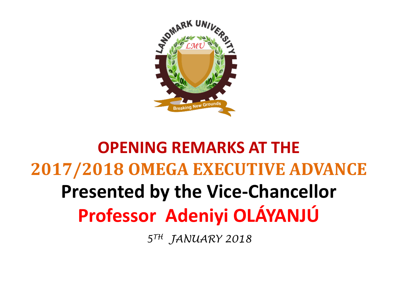

## **OPENING REMARKS AT THE 2017/2018 OMEGA EXECUTIVE ADVANCE Presented by the Vice-Chancellor Professor Adeniyi OLÁYANJÚ**

*5TH JANUARY 2018*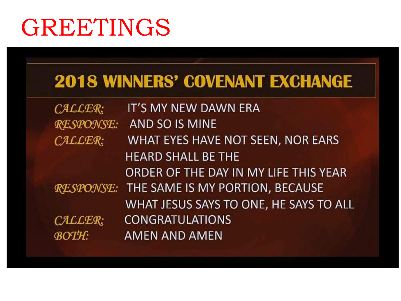# GREETINGS

## **2018 WINNERS' COVENANT EXCHANGE**

| CALLER:          | IT'S MY NEW DAWN ERA                             |
|------------------|--------------------------------------------------|
| <b>RESPONSE:</b> | AND SO IS MINE                                   |
| CALLER:          | WHAT EYES HAVE NOT SEEN, NOR EARS                |
|                  | <b>HEARD SHALL BE THE</b>                        |
|                  | ORDER OF THE DAY IN MY LIFE THIS YEAR            |
|                  | <b>RESPONSE: THE SAME IS MY PORTION, BECAUSE</b> |
|                  | WHAT JESUS SAYS TO ONE, HE SAYS TO ALL           |
| CALLER:          | <b>CONGRATULATIONS</b>                           |
| <b>BOTH:</b>     | <b>AMEN AND AMEN</b>                             |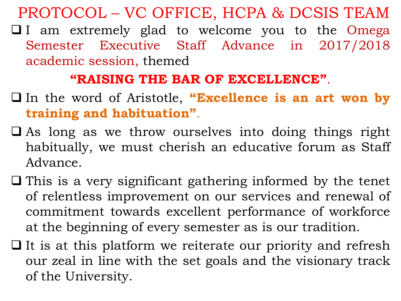PROTOCOL – VC OFFICE, HCPA & DCSIS TEAM

 $\Box$  I am extremely glad to welcome you to the Omega Semester Executive Staff Advance in 2017/2018 academic session, themed

#### **"RAISING THE BAR OF EXCELLENCE"**.

- q In the word of Aristotle, **"Excellence is an art won by training and habituation"**.
- $\Box$  As long as we throw ourselves into doing things right habitually, we must cherish an educative forum as Staff Advance.
- $\Box$  This is a very significant gathering informed by the tenet of relentless improvement on our services and renewal of commitment towards excellent performance of workforce at the beginning of every semester as is our tradition.
- $\Box$  It is at this platform we reiterate our priority and refresh our zeal in line with the set goals and the visionary track of the University.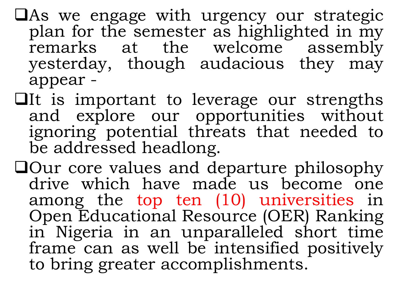- $\Box$ As we engage with urgency our strategic plan for the semester as highlighted in my remarks at the welcome assembly yesterday, though audacious they may appear -
- $\Box$ It is important to leverage our strengths and explore our opportunities without ignoring potential threats that needed to be addressed headlong.
- $\Box$ Our core values and departure philosophy drive which have made us become one among the top ten (10) universities in Open Educational Resource (OER) Ranking in Nigeria in an unparalleled short time frame can as well be intensified positively to bring greater accomplishments.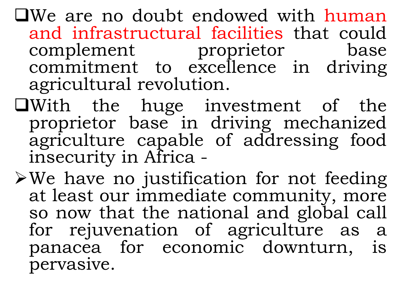$\Box$ We are no doubt endowed with human and infrastructural facilities that could complement proprietor base commitment to excellence in driving agricultural revolution.

- qWith the huge investment of the proprietor base in driving mechanized agriculture capable of addressing food insecurity in Africa -
- $\blacktriangleright$  We have no justification for not feeding at least our immediate community, more so now that the national and global call for rejuvenation of agriculture as a panacea for economic downturn, is pervasive.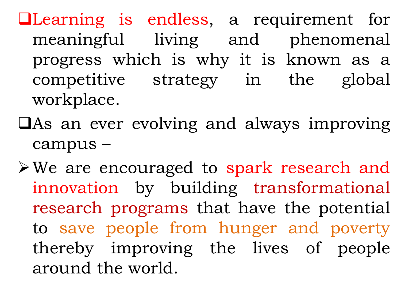qLearning is endless, a requirement for meaningful living and phenomenal progress which is why it is known as a competitive strategy in the global workplace.

 $\Box$ As an ever evolving and always improving campus –

ØWe are encouraged to spark research and innovation by building transformational research programs that have the potential to save people from hunger and poverty thereby improving the lives of people around the world.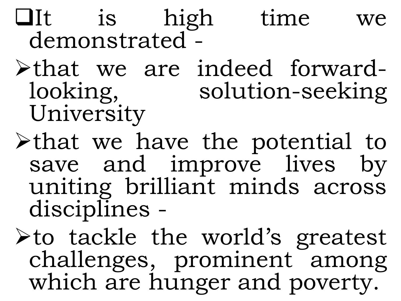# $\Box$ It is high time we demonstrated -

- <sup>Ø</sup>that we are indeed forward- looking, solution-seeking University
- Øthat we have the potential to save and improve lives by uniting brilliant minds across disciplines -

Øto tackle the world's greatest challenges, prominent among which are hunger and poverty.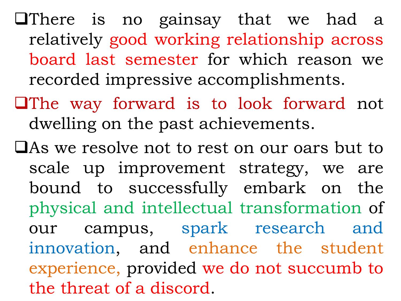$\Box$ There is no gainsay that we had a relatively good working relationship across board last semester for which reason we recorded impressive accomplishments.

- $\Box$ The way forward is to look forward not dwelling on the past achievements.
- **QAs we resolve not to rest on our oars but to** scale up improvement strategy, we are bound to successfully embark on the physical and intellectual transformation of our campus, spark research and innovation, and enhance the student experience, provided we do not succumb to the threat of a discord.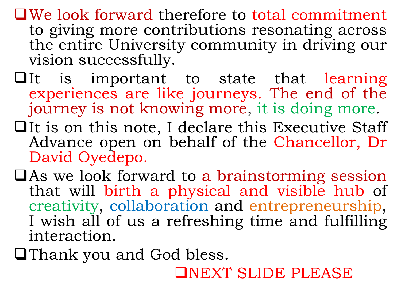- $\Box$ We look forward therefore to total commitment to giving more contributions resonating across the entire University community in driving our vision successfully.
- $\Box$ It is important to state that learning experiences are like journeys. The end of the journey is not knowing more, it is doing more.
- $\Box$ It is on this note, I declare this Executive Staff Advance open on behalf of the Chancellor, Dr David Oyedepo.
- $\Box$  As we look forward to a brainstorming session that will birth a physical and visible hub of creativity, collaboration and entrepreneurship, I wish all of us a refreshing time and fulfilling interaction.

**QThank you and God bless.** 

**QNEXT SLIDE PLEASE**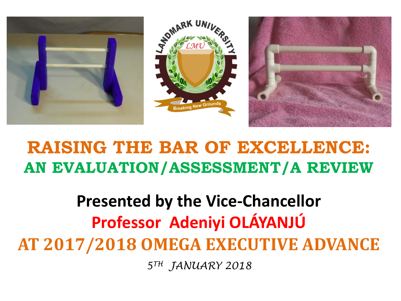

## **RAISING THE BAR OF EXCELLENCE: AN EVALUATION/ASSESSMENT/A REVIEW**

## **Presented by the Vice-Chancellor Professor Adeniyi OLÁYANJÚ AT 2017/2018 OMEGA EXECUTIVE ADVANCE** *5TH JANUARY 2018*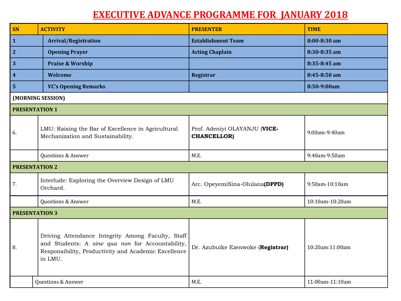#### **EXECUTIVE ADVANCE PROGRAMME FOR JANUARY 2018**

| SN                      | <b>ACTIVITY</b>                                                                                                                                                          | <b>PRESENTER</b>                                    | <b>TIME</b>     |  |  |  |
|-------------------------|--------------------------------------------------------------------------------------------------------------------------------------------------------------------------|-----------------------------------------------------|-----------------|--|--|--|
| $\mathbf{1}$            | <b>Arrival/Registration</b>                                                                                                                                              | <b>Establishment Team</b>                           | 8:00-8:30 am    |  |  |  |
| $\overline{2}$          | <b>Opening Prayer</b>                                                                                                                                                    | <b>Acting Chaplain</b>                              | 8:30-8:35 am    |  |  |  |
| 3                       | <b>Praise &amp; Worship</b>                                                                                                                                              |                                                     | 8:35-8:45 am    |  |  |  |
| $\overline{\mathbf{4}}$ | <b>Welcome</b>                                                                                                                                                           | Registrar                                           | 8:45-8:50 am    |  |  |  |
| $\overline{\mathbf{5}}$ | <b>VC's Opening Remarks</b>                                                                                                                                              |                                                     | 8:50-9:00am     |  |  |  |
| (MORNING SESSION)       |                                                                                                                                                                          |                                                     |                 |  |  |  |
|                         | <b>PRESENTATION 1</b>                                                                                                                                                    |                                                     |                 |  |  |  |
| 6.                      | LMU: Raising the Bar of Excellence in Agricultural<br>Mechanization and Sustainability.                                                                                  | Prof. Adeniyi OLAYANJU (VICE-<br><b>CHANCELLOR)</b> | 9.00am-9:40am   |  |  |  |
|                         | Questions & Answer                                                                                                                                                       | M.E.                                                | 9:40am-9:50am   |  |  |  |
| <b>PRESENTATION 2</b>   |                                                                                                                                                                          |                                                     |                 |  |  |  |
| 7.                      | Interlude: Exploring the Overview Design of LMU<br>Orchard.                                                                                                              | Arc. OpeyemiSina-Olulana(DPPD)                      | 9:50am-10:10am  |  |  |  |
|                         | Questions & Answer                                                                                                                                                       | M.E.                                                | 10:10am-10:20am |  |  |  |
| <b>PRESENTATION 3</b>   |                                                                                                                                                                          |                                                     |                 |  |  |  |
| 8.                      | Driving Attendance Integrity Among Faculty, Staff<br>and Students: A sine qua non for Accountability,<br>Responsibility, Productivity and Academic Excellence<br>in LMU. | Dr. Azubuike Ezenwoke (Registrar)                   | 10:20am:11:00am |  |  |  |
|                         | <b>Questions &amp; Answer</b>                                                                                                                                            | M.E.                                                | 11:00am-11:10am |  |  |  |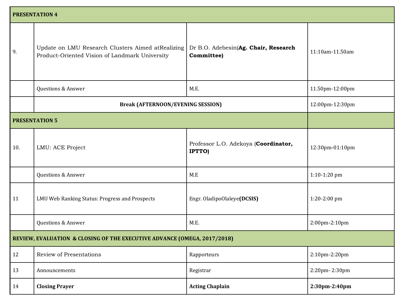| <b>PRESENTATION 4</b>                                                    |                                                                                                     |                                                    |                 |  |  |
|--------------------------------------------------------------------------|-----------------------------------------------------------------------------------------------------|----------------------------------------------------|-----------------|--|--|
| 9.                                                                       | Update on LMU Research Clusters Aimed atRealizing<br>Product-Oriented Vision of Landmark University | Dr B.O. Adebesin(Ag. Chair, Research<br>Committee) | 11:10am-11.50am |  |  |
|                                                                          | Questions & Answer                                                                                  | M.E.                                               | 11.50pm-12:00pm |  |  |
|                                                                          | <b>Break (AFTERNOON/EVENING SESSION)</b>                                                            |                                                    | 12:00pm-12:30pm |  |  |
|                                                                          | <b>PRESENTATION 5</b>                                                                               |                                                    |                 |  |  |
| 10.                                                                      | LMU: ACE Project                                                                                    | Professor L.O. Adekoya (Coordinator,<br>IPTTO)     | 12:30pm-01:10pm |  |  |
|                                                                          | Questions & Answer                                                                                  | M.E                                                | 1:10-1:20 pm    |  |  |
| 11                                                                       | LMU Web Ranking Status: Progress and Prospects                                                      | Engr. OladipoOlaleye(DCSIS)                        | 1:20-2:00 pm    |  |  |
|                                                                          | Questions & Answer                                                                                  | M.E.                                               | 2:00pm-2:10pm   |  |  |
| REVIEW, EVALUATION & CLOSING OF THE EXECUTIVE ADVANCE (OMEGA, 2017/2018) |                                                                                                     |                                                    |                 |  |  |
| 12                                                                       | Review of Presentations                                                                             | Rapporteurs                                        | 2:10pm-2:20pm   |  |  |
| 13                                                                       | Announcements                                                                                       | Registrar                                          | 2:20pm-2:30pm   |  |  |
| 14                                                                       | <b>Closing Prayer</b>                                                                               | <b>Acting Chaplain</b>                             | 2:30pm-2:40pm   |  |  |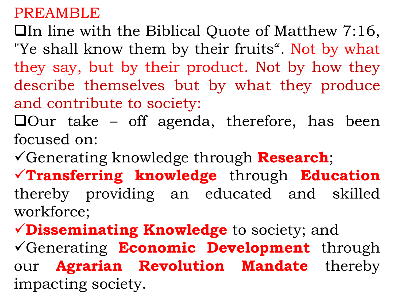### PREAMBLE

 $\Box$ In line with the Biblical Quote of Matthew 7:16, "Ye shall know them by their fruits". Not by what they say, but by their product. Not by how they describe themselves but by what they produce and contribute to society:

 $\Box$ Our take – off agenda, therefore, has been focused on:

üGenerating knowledge through **Research**;

ü**Transferring knowledge** through **Education** thereby providing an educated and skilled workforce;

ü**Disseminating Knowledge** to society; and üGenerating **Economic Development** through our **Agrarian Revolution Mandate** thereby impacting society.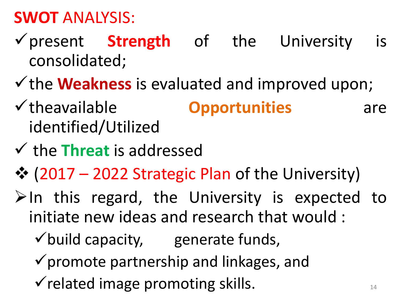## **SWOT** ANALYSIS:

- üpresent **Strength** of the University is consolidated;
- $\checkmark$  the **Weakness** is evaluated and improved upon;
- v theavailable **Opportunities** are identified/Utilized
- $\checkmark$  the **Threat** is addressed
- ◆ (2017 2022 Strategic Plan of the University)
- $\triangleright$ In this regard, the University is expected to initiate new ideas and research that would :
	- $\checkmark$  build capacity, generate funds,
	- $\checkmark$  promote partnership and linkages, and
	- $\checkmark$  related image promoting skills.  $\checkmark$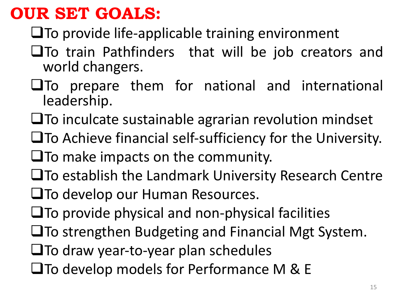### **OUR SET GOALS:**

- $\square$ To provide life-applicable training environment
- $\square$  To train Pathfinders that will be job creators and world changers.
- $\square$ To prepare them for national and international leadership.
- $\square$ To inculcate sustainable agrarian revolution mindset
- $\square$  To Achieve financial self-sufficiency for the University.
- $\square$  To make impacts on the community.
- $\square$  To establish the Landmark University Research Centre
- $\square$ To develop our Human Resources.
- $\square$ To provide physical and non-physical facilities
- $\square$ To strengthen Budgeting and Financial Mgt System.
- $\square$ To draw year-to-year plan schedules
- $\square$  To develop models for Performance M & E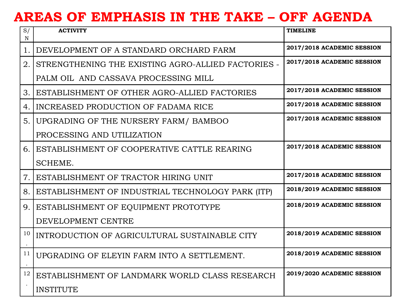#### **AREAS OF EMPHASIS IN THE TAKE – OFF AGENDA**

| S/<br>N        | <b>ACTIVITY</b>                                    | <b>TIMELINE</b>            |
|----------------|----------------------------------------------------|----------------------------|
| $\mathbf{1}$ . | DEVELOPMENT OF A STANDARD ORCHARD FARM             | 2017/2018 ACADEMIC SESSION |
| 2.             | STRENGTHENING THE EXISTING AGRO-ALLIED FACTORIES - | 2017/2018 ACADEMIC SESSION |
|                | PALM OIL AND CASSAVA PROCESSING MILL               |                            |
| 3.             | ESTABLISHMENT OF OTHER AGRO-ALLIED FACTORIES       | 2017/2018 ACADEMIC SESSION |
| 4.             | INCREASED PRODUCTION OF FADAMA RICE                | 2017/2018 ACADEMIC SESSION |
| 5.             | UPGRADING OF THE NURSERY FARM/ BAMBOO              | 2017/2018 ACADEMIC SESSION |
|                | PROCESSING AND UTILIZATION                         |                            |
| 6.             | ESTABLISHMENT OF COOPERATIVE CATTLE REARING        | 2017/2018 ACADEMIC SESSION |
|                | SCHEME.                                            |                            |
| 7.             | ESTABLISHMENT OF TRACTOR HIRING UNIT               | 2017/2018 ACADEMIC SESSION |
| 8.             | ESTABLISHMENT OF INDUSTRIAL TECHNOLOGY PARK (ITP)  | 2018/2019 ACADEMIC SESSION |
| 9.             | ESTABLISHMENT OF EQUIPMENT PROTOTYPE               | 2018/2019 ACADEMIC SESSION |
|                | DEVELOPMENT CENTRE                                 |                            |
| 10             | INTRODUCTION OF AGRICULTURAL SUSTAINABLE CITY      | 2018/2019 ACADEMIC SESSION |
| 11             | UPGRADING OF ELEYIN FARM INTO A SETTLEMENT.        | 2018/2019 ACADEMIC SESSION |
| 12             | ESTABLISHMENT OF LANDMARK WORLD CLASS RESEARCH     | 2019/2020 ACADEMIC SESSION |
|                | <b>INSTITUTE</b>                                   |                            |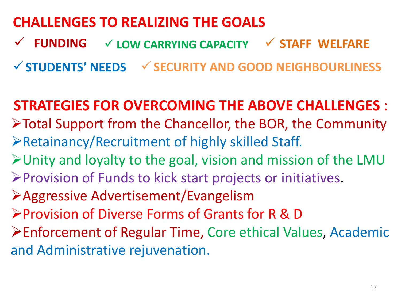### **CHALLENGES TO REALIZING THE GOALS**

ü **FUNDING** ü **LOW CARRYING CAPACITY** ü **STAFF WELFARE**

ü**STUDENTS' NEEDS** ü**SECURITY AND GOOD NEIGHBOURLINESS**

**STRATEGIES FOR OVERCOMING THE ABOVE CHALLENGES :**  $\triangleright$  Total Support from the Chancellor, the BOR, the Community  $\triangleright$  Retainancy/Recruitment of highly skilled Staff.  $\blacktriangleright$  Unity and loyalty to the goal, vision and mission of the LMU  $\triangleright$  Provision of Funds to kick start projects or initiatives. ØAggressive Advertisement/Evangelism ØProvision of Diverse Forms of Grants for R & D ▶ Enforcement of Regular Time, Core ethical Values, Academic and Administrative rejuvenation.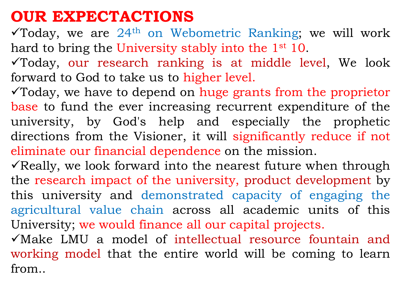### **OUR EXPECTACTIONS**

 $\checkmark$ Today, we are 24<sup>th</sup> on Webometric Ranking; we will work hard to bring the University stably into the 1<sup>st</sup> 10.

 $\checkmark$  Today, our research ranking is at middle level, We look forward to God to take us to higher level.

 $\checkmark$  Today, we have to depend on huge grants from the proprietor base to fund the ever increasing recurrent expenditure of the university, by God's help and especially the prophetic directions from the Visioner, it will significantly reduce if not eliminate our financial dependence on the mission.

 $\checkmark$  Really, we look forward into the nearest future when through the research impact of the university, product development by this university and demonstrated capacity of engaging the agricultural value chain across all academic units of this University; we would finance all our capital projects.

 $\sqrt{M}$ ake LMU a model of intellectual resource fountain and working model that the entire world will be coming to learn from..